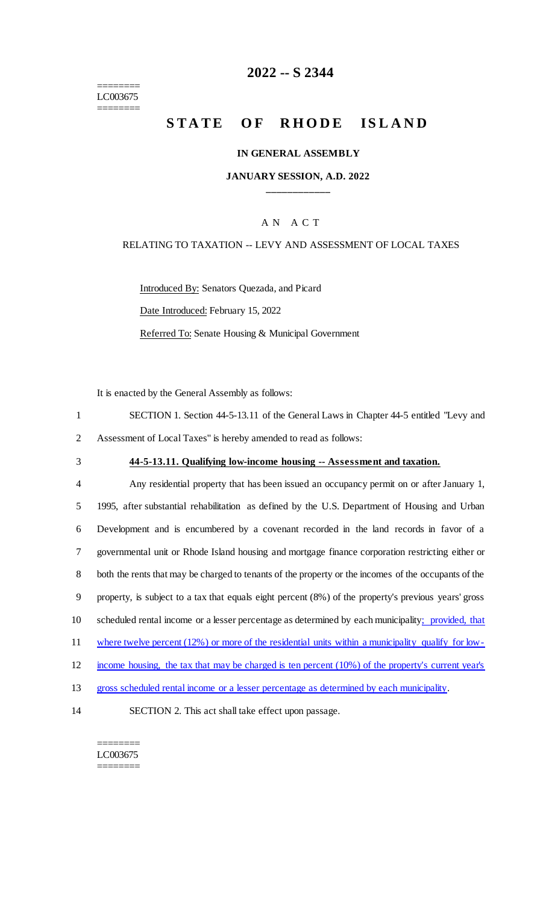======== LC003675 ========

# **2022 -- S 2344**

# **STATE OF RHODE ISLAND**

### **IN GENERAL ASSEMBLY**

### **JANUARY SESSION, A.D. 2022 \_\_\_\_\_\_\_\_\_\_\_\_**

### A N A C T

### RELATING TO TAXATION -- LEVY AND ASSESSMENT OF LOCAL TAXES

Introduced By: Senators Quezada, and Picard

Date Introduced: February 15, 2022

Referred To: Senate Housing & Municipal Government

It is enacted by the General Assembly as follows:

| SECTION 1. Section 44-5-13.11 of the General Laws in Chapter 44-5 entitled "Levy and |
|--------------------------------------------------------------------------------------|
| 2 Assessment of Local Taxes" is hereby amended to read as follows:                   |

# 3 **44-5-13.11. Qualifying low-income housing -- Assessment and taxation.**

| $\overline{4}$ | Any residential property that has been issued an occupancy permit on or after January 1,             |
|----------------|------------------------------------------------------------------------------------------------------|
| 5              | 1995, after substantial rehabilitation as defined by the U.S. Department of Housing and Urban        |
| 6              | Development and is encumbered by a covenant recorded in the land records in favor of a               |
| $\tau$         | governmental unit or Rhode Island housing and mortgage finance corporation restricting either or     |
| 8              | both the rents that may be charged to tenants of the property or the incomes of the occupants of the |
| 9              | property, is subject to a tax that equals eight percent (8%) of the property's previous years' gross |
| 10             | scheduled rental income or a lesser percentage as determined by each municipality; provided, that    |
| 11             | where twelve percent $(12%)$ or more of the residential units within a municipality qualify for low- |
| 12             | income housing, the tax that may be charged is ten percent (10%) of the property's current year's    |
| 13             | gross scheduled rental income or a lesser percentage as determined by each municipality.             |
| 14             | SECTION 2. This act shall take effect upon passage.                                                  |

#### ======== LC003675 ========